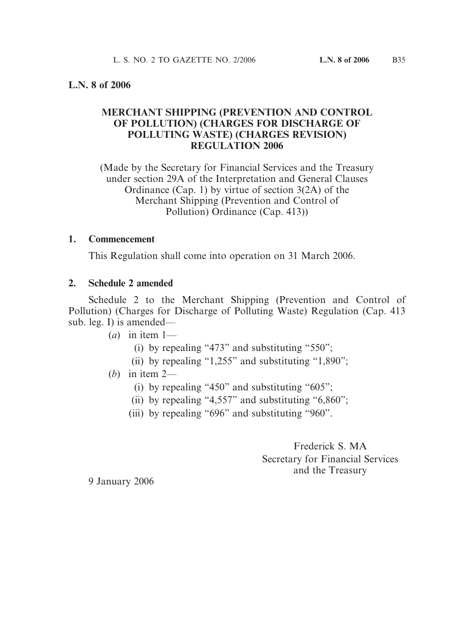### **L.N. 8 of 2006**

## **MERCHANT SHIPPING (PREVENTION AND CONTROL OF POLLUTION) (CHARGES FOR DISCHARGE OF POLLUTING WASTE) (CHARGES REVISION) REGULATION 2006**

(Made by the Secretary for Financial Services and the Treasury under section 29A of the Interpretation and General Clauses Ordinance (Cap. 1) by virtue of section 3(2A) of the Merchant Shipping (Prevention and Control of Pollution) Ordinance (Cap. 413))

#### **1. Commencement**

This Regulation shall come into operation on 31 March 2006.

### **2. Schedule 2 amended**

Schedule 2 to the Merchant Shipping (Prevention and Control of Pollution) (Charges for Discharge of Polluting Waste) Regulation (Cap. 413 sub. leg. I) is amended—

 $(a)$  in item 1—

- (i) by repealing "473" and substituting "550";
- (ii) by repealing "1,255" and substituting "1,890";

# (*b*) in item 2—

- (i) by repealing "450" and substituting "605";
- (ii) by repealing "4,557" and substituting "6,860";
- (iii) by repealing "696" and substituting "960".

Frederick S. MA Secretary for Financial Services and the Treasury

9 January 2006